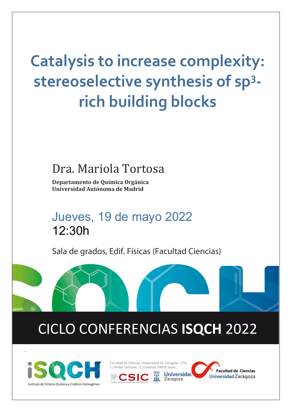# **Catalysis to increase complexity: stereoselective synthesis of sp3 rich building blocks**

## Dra. Mariola Tortosa

**Departamento de Química Orgánica Universidad Autónoma de Madrid**

Jueves, 19 de mayo 2022 12:30h

Sala de grados, Edif. Físicas (Facultad Ciencias)

## CICLO CONFERENCIAS **ISQCH** 2022



.

Facultad de Ciencias, Universidad de Zaragoza - CSIC C/ Pedro Cerbuna, 12. Zaragoza 50009. Spain

Universidad

Zaragoza